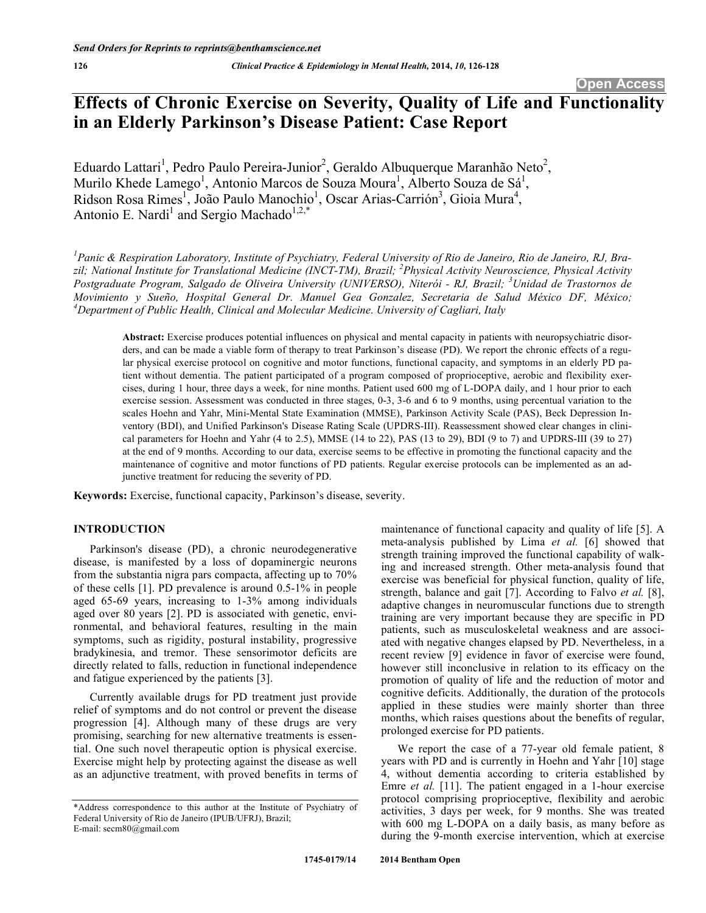# **Effects of Chronic Exercise on Severity, Quality of Life and Functionality in an Elderly Parkinson's Disease Patient: Case Report**

Eduardo Lattari<sup>1</sup>, Pedro Paulo Pereira-Junior<sup>2</sup>, Geraldo Albuquerque Maranhão Neto<sup>2</sup>, Murilo Khede Lamego<sup>1</sup>, Antonio Marcos de Souza Moura<sup>1</sup>, Alberto Souza de Sá<sup>1</sup>, Ridson Rosa Rimes<sup>1</sup>, João Paulo Manochio<sup>1</sup>, Oscar Arias-Carrión<sup>3</sup>, Gioia Mura<sup>4</sup>, Antonio E. Nardi<sup>1</sup> and Sergio Machado<sup>1,2,\*</sup>

*1 Panic & Respiration Laboratory, Institute of Psychiatry, Federal University of Rio de Janeiro, Rio de Janeiro, RJ, Brazil; National Institute for Translational Medicine (INCT-TM), Brazil; <sup>2</sup> Physical Activity Neuroscience, Physical Activity Postgraduate Program, Salgado de Oliveira University (UNIVERSO), Niterói - RJ, Brazil; <sup>3</sup> Unidad de Trastornos de Movimiento y Sueño, Hospital General Dr. Manuel Gea Gonzalez, Secretaria de Salud México DF, México; 4 Department of Public Health, Clinical and Molecular Medicine. University of Cagliari, Italy* 

**Abstract:** Exercise produces potential influences on physical and mental capacity in patients with neuropsychiatric disorders, and can be made a viable form of therapy to treat Parkinson's disease (PD). We report the chronic effects of a regular physical exercise protocol on cognitive and motor functions, functional capacity, and symptoms in an elderly PD patient without dementia. The patient participated of a program composed of proprioceptive, aerobic and flexibility exercises, during 1 hour, three days a week, for nine months. Patient used 600 mg of L-DOPA daily, and 1 hour prior to each exercise session. Assessment was conducted in three stages, 0-3, 3-6 and 6 to 9 months, using percentual variation to the scales Hoehn and Yahr, Mini-Mental State Examination (MMSE), Parkinson Activity Scale (PAS), Beck Depression Inventory (BDI), and Unified Parkinson's Disease Rating Scale (UPDRS-III). Reassessment showed clear changes in clinical parameters for Hoehn and Yahr (4 to 2.5), MMSE (14 to 22), PAS (13 to 29), BDI (9 to 7) and UPDRS-III (39 to 27) at the end of 9 months. According to our data, exercise seems to be effective in promoting the functional capacity and the maintenance of cognitive and motor functions of PD patients. Regular exercise protocols can be implemented as an adjunctive treatment for reducing the severity of PD.

**Keywords:** Exercise, functional capacity, Parkinson's disease, severity.

# **INTRODUCTION**

Parkinson's disease (PD), a chronic neurodegenerative disease, is manifested by a loss of dopaminergic neurons from the substantia nigra pars compacta, affecting up to 70% of these cells [1]. PD prevalence is around 0.5-1% in people aged 65-69 years, increasing to 1-3% among individuals aged over 80 years [2]. PD is associated with genetic, environmental, and behavioral features, resulting in the main symptoms, such as rigidity, postural instability, progressive bradykinesia, and tremor. These sensorimotor deficits are directly related to falls, reduction in functional independence and fatigue experienced by the patients [3].

Currently available drugs for PD treatment just provide relief of symptoms and do not control or prevent the disease progression [4]. Although many of these drugs are very promising, searching for new alternative treatments is essential. One such novel therapeutic option is physical exercise. Exercise might help by protecting against the disease as well as an adjunctive treatment, with proved benefits in terms of maintenance of functional capacity and quality of life [5]. A meta-analysis published by Lima *et al.* [6] showed that strength training improved the functional capability of walking and increased strength. Other meta-analysis found that exercise was beneficial for physical function, quality of life, strength, balance and gait [7]. According to Falvo *et al.* [8], adaptive changes in neuromuscular functions due to strength training are very important because they are specific in PD patients, such as musculoskeletal weakness and are associated with negative changes elapsed by PD. Nevertheless, in a recent review [9] evidence in favor of exercise were found, however still inconclusive in relation to its efficacy on the promotion of quality of life and the reduction of motor and cognitive deficits. Additionally, the duration of the protocols applied in these studies were mainly shorter than three months, which raises questions about the benefits of regular, prolonged exercise for PD patients.

We report the case of a 77-year old female patient, 8 years with PD and is currently in Hoehn and Yahr [10] stage 4, without dementia according to criteria established by Emre *et al.* [11]. The patient engaged in a 1-hour exercise protocol comprising proprioceptive, flexibility and aerobic activities, 3 days per week, for 9 months. She was treated with 600 mg L-DOPA on a daily basis, as many before as during the 9-month exercise intervention, which at exercise

<sup>\*</sup>Address correspondence to this author at the Institute of Psychiatry of Federal University of Rio de Janeiro (IPUB/UFRJ), Brazil; E-mail: secm80@gmail.com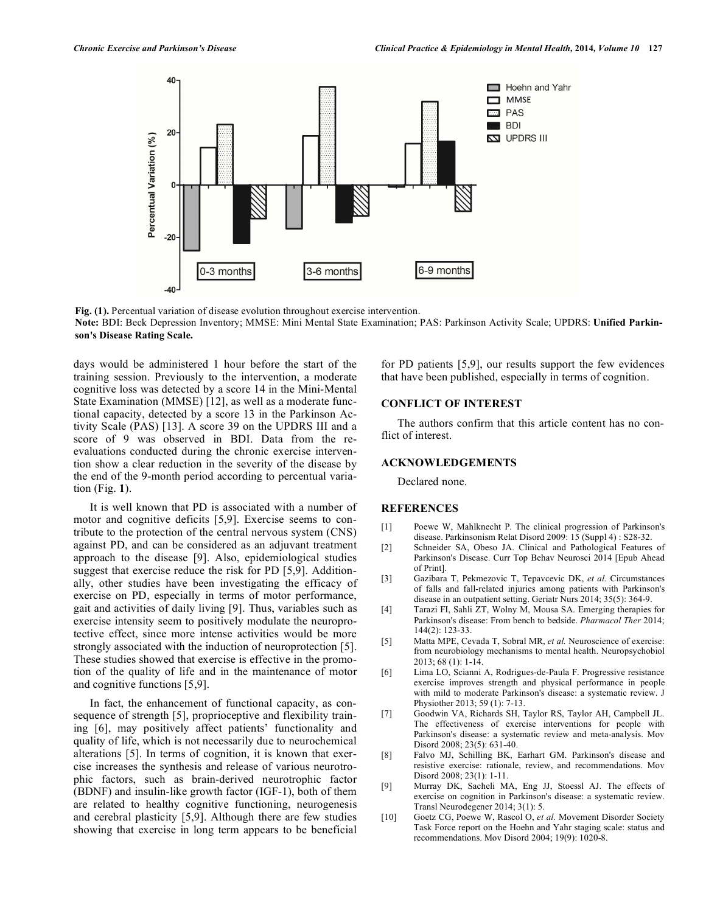

**Fig. (1).** Percentual variation of disease evolution throughout exercise intervention. **Note:** BDI: Beck Depression Inventory; MMSE: Mini Mental State Examination; PAS: Parkinson Activity Scale; UPDRS: **Unified Parkinson's Disease Rating Scale.**

days would be administered 1 hour before the start of the training session. Previously to the intervention, a moderate cognitive loss was detected by a score 14 in the Mini-Mental State Examination (MMSE) [12], as well as a moderate functional capacity, detected by a score 13 in the Parkinson Activity Scale (PAS) [13]. A score 39 on the UPDRS III and a score of 9 was observed in BDI. Data from the reevaluations conducted during the chronic exercise intervention show a clear reduction in the severity of the disease by the end of the 9-month period according to percentual variation (Fig. **1**).

It is well known that PD is associated with a number of motor and cognitive deficits [5,9]. Exercise seems to contribute to the protection of the central nervous system (CNS) against PD, and can be considered as an adjuvant treatment approach to the disease [9]. Also, epidemiological studies suggest that exercise reduce the risk for PD [5,9]. Additionally, other studies have been investigating the efficacy of exercise on PD, especially in terms of motor performance, gait and activities of daily living [9]. Thus, variables such as exercise intensity seem to positively modulate the neuroprotective effect, since more intense activities would be more strongly associated with the induction of neuroprotection [5]. These studies showed that exercise is effective in the promotion of the quality of life and in the maintenance of motor and cognitive functions [5,9].

In fact, the enhancement of functional capacity, as consequence of strength [5], proprioceptive and flexibility training [6], may positively affect patients' functionality and quality of life, which is not necessarily due to neurochemical alterations [5]. In terms of cognition, it is known that exercise increases the synthesis and release of various neurotrophic factors, such as brain-derived neurotrophic factor (BDNF) and insulin-like growth factor (IGF-1), both of them are related to healthy cognitive functioning, neurogenesis and cerebral plasticity [5,9]. Although there are few studies showing that exercise in long term appears to be beneficial for PD patients [5,9], our results support the few evidences that have been published, especially in terms of cognition.

## **CONFLICT OF INTEREST**

The authors confirm that this article content has no conflict of interest.

### **ACKNOWLEDGEMENTS**

Declared none.

### **REFERENCES**

- [1] Poewe W, Mahlknecht P. The clinical progression of Parkinson's disease. Parkinsonism Relat Disord 2009: 15 (Suppl 4) : S28-32.
- [2] Schneider SA, Obeso JA. Clinical and Pathological Features of Parkinson's Disease. Curr Top Behav Neurosci 2014 [Epub Ahead of Print].
- [3] Gazibara T, Pekmezovic T, Tepavcevic DK, *et al.* Circumstances of falls and fall-related injuries among patients with Parkinson's disease in an outpatient setting. Geriatr Nurs 2014; 35(5): 364-9.
- [4] Tarazi FI, Sahli ZT, Wolny M, Mousa SA. Emerging therapies for Parkinson's disease: From bench to bedside. *Pharmacol Ther* 2014; 144(2): 123-33.
- [5] Matta MPE, Cevada T, Sobral MR, *et al.* Neuroscience of exercise: from neurobiology mechanisms to mental health. Neuropsychobiol 2013; 68 (1): 1-14.
- [6] Lima LO, Scianni A, Rodrigues-de-Paula F. Progressive resistance exercise improves strength and physical performance in people with mild to moderate Parkinson's disease: a systematic review. J Physiother 2013; 59 (1): 7-13.
- [7] Goodwin VA, Richards SH, Taylor RS, Taylor AH, Campbell JL. The effectiveness of exercise interventions for people with Parkinson's disease: a systematic review and meta-analysis. Mov Disord 2008; 23(5): 631-40.
- [8] Falvo MJ, Schilling BK, Earhart GM. Parkinson's disease and resistive exercise: rationale, review, and recommendations. Mov Disord 2008; 23(1): 1-11.
- [9] Murray DK, Sacheli MA, Eng JJ, Stoessl AJ. The effects of exercise on cognition in Parkinson's disease: a systematic review. Transl Neurodegener 2014; 3(1): 5.
- [10] Goetz CG, Poewe W, Rascol O, *et al.* Movement Disorder Society Task Force report on the Hoehn and Yahr staging scale: status and recommendations. Mov Disord 2004; 19(9): 1020-8.